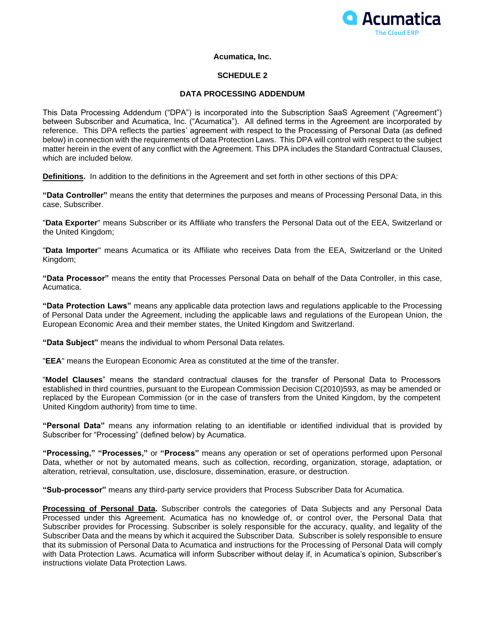

# **Acumatica, Inc.**

## **SCHEDULE 2**

# **DATA PROCESSING ADDENDUM**

This Data Processing Addendum ("DPA") is incorporated into the Subscription SaaS Agreement ("Agreement") between Subscriber and Acumatica, Inc. ("Acumatica"). All defined terms in the Agreement are incorporated by reference. This DPA reflects the parties' agreement with respect to the Processing of Personal Data (as defined below) in connection with the requirements of Data Protection Laws. This DPA will control with respect to the subject matter herein in the event of any conflict with the Agreement. This DPA includes the Standard Contractual Clauses, which are included below.

**Definitions.** In addition to the definitions in the Agreement and set forth in other sections of this DPA:

**"Data Controller"** means the entity that determines the purposes and means of Processing Personal Data, in this case, Subscriber.

"**Data Exporter**" means Subscriber or its Affiliate who transfers the Personal Data out of the EEA, Switzerland or the United Kingdom;

"**Data Importer**" means Acumatica or its Affiliate who receives Data from the EEA, Switzerland or the United Kingdom;

**"Data Processor"** means the entity that Processes Personal Data on behalf of the Data Controller, in this case, Acumatica.

**"Data Protection Laws"** means any applicable data protection laws and regulations applicable to the Processing of Personal Data under the Agreement, including the applicable laws and regulations of the European Union, the European Economic Area and their member states, the United Kingdom and Switzerland.

**"Data Subject"** means the individual to whom Personal Data relates.

"**EEA**" means the European Economic Area as constituted at the time of the transfer.

"**Model Clauses**" means the standard contractual clauses for the transfer of Personal Data to Processors established in third countries, pursuant to the European Commission Decision C(2010)593, as may be amended or replaced by the European Commission (or in the case of transfers from the United Kingdom, by the competent United Kingdom authority) from time to time.

**"Personal Data"** means any information relating to an identifiable or identified individual that is provided by Subscriber for "Processing" (defined below) by Acumatica.

**"Processing," "Processes,"** or **"Process"** means any operation or set of operations performed upon Personal Data, whether or not by automated means, such as collection, recording, organization, storage, adaptation, or alteration, retrieval, consultation, use, disclosure, dissemination, erasure, or destruction.

**"Sub-processor"** means any third-party service providers that Process Subscriber Data for Acumatica.

**Processing of Personal Data.** Subscriber controls the categories of Data Subjects and any Personal Data Processed under this Agreement. Acumatica has no knowledge of, or control over, the Personal Data that Subscriber provides for Processing. Subscriber is solely responsible for the accuracy, quality, and legality of the Subscriber Data and the means by which it acquired the Subscriber Data.Subscriber is solely responsible to ensure that its submission of Personal Data to Acumatica and instructions for the Processing of Personal Data will comply with Data Protection Laws. Acumatica will inform Subscriber without delay if, in Acumatica's opinion, Subscriber's instructions violate Data Protection Laws.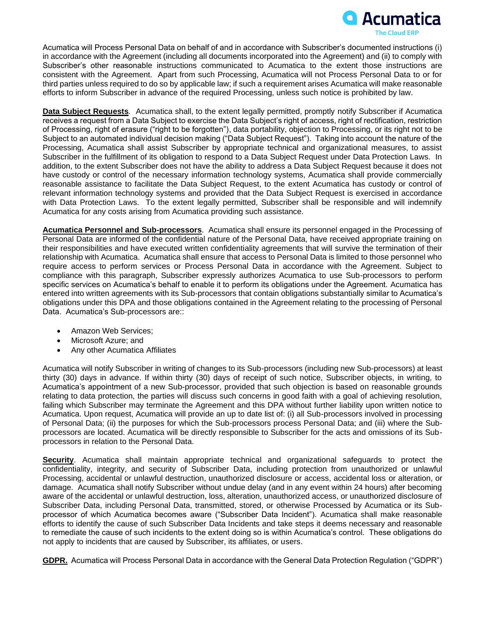

Acumatica will Process Personal Data on behalf of and in accordance with Subscriber's documented instructions (i) in accordance with the Agreement (including all documents incorporated into the Agreement) and (ii) to comply with Subscriber's other reasonable instructions communicated to Acumatica to the extent those instructions are consistent with the Agreement. Apart from such Processing, Acumatica will not Process Personal Data to or for third parties unless required to do so by applicable law; if such a requirement arises Acumatica will make reasonable efforts to inform Subscriber in advance of the required Processing, unless such notice is prohibited by law.

**Data Subject Requests***.* Acumatica shall, to the extent legally permitted, promptly notify Subscriber if Acumatica receives a request from a Data Subject to exercise the Data Subject's right of access, right of rectification, restriction of Processing, right of erasure ("right to be forgotten"), data portability, objection to Processing, or its right not to be Subject to an automated individual decision making ("Data Subject Request"). Taking into account the nature of the Processing, Acumatica shall assist Subscriber by appropriate technical and organizational measures, to assist Subscriber in the fulfillment of its obligation to respond to a Data Subject Request under Data Protection Laws. In addition, to the extent Subscriber does not have the ability to address a Data Subject Request because it does not have custody or control of the necessary information technology systems, Acumatica shall provide commercially reasonable assistance to facilitate the Data Subject Request, to the extent Acumatica has custody or control of relevant information technology systems and provided that the Data Subject Request is exercised in accordance with Data Protection Laws. To the extent legally permitted, Subscriber shall be responsible and will indemnify Acumatica for any costs arising from Acumatica providing such assistance.

**Acumatica Personnel and Sub-processors**. Acumatica shall ensure its personnel engaged in the Processing of Personal Data are informed of the confidential nature of the Personal Data, have received appropriate training on their responsibilities and have executed written confidentiality agreements that will survive the termination of their relationship with Acumatica. Acumatica shall ensure that access to Personal Data is limited to those personnel who require access to perform services or Process Personal Data in accordance with the Agreement. Subject to compliance with this paragraph, Subscriber expressly authorizes Acumatica to use Sub-processors to perform specific services on Acumatica's behalf to enable it to perform its obligations under the Agreement. Acumatica has entered into written agreements with its Sub-processors that contain obligations substantially similar to Acumatica's obligations under this DPA and those obligations contained in the Agreement relating to the processing of Personal Data. Acumatica's Sub-processors are::

- Amazon Web Services;
- Microsoft Azure; and
- Any other Acumatica Affiliates

Acumatica will notify Subscriber in writing of changes to its Sub-processors (including new Sub-processors) at least thirty (30) days in advance. If within thirty (30) days of receipt of such notice, Subscriber objects, in writing, to Acumatica's appointment of a new Sub-processor, provided that such objection is based on reasonable grounds relating to data protection, the parties will discuss such concerns in good faith with a goal of achieving resolution, failing which Subscriber may terminate the Agreement and this DPA without further liability upon written notice to Acumatica. Upon request, Acumatica will provide an up to date list of: (i) all Sub-processors involved in processing of Personal Data; (ii) the purposes for which the Sub-processors process Personal Data; and (iii) where the Subprocessors are located. Acumatica will be directly responsible to Subscriber for the acts and omissions of its Subprocessors in relation to the Personal Data.

**Security**. Acumatica shall maintain appropriate technical and organizational safeguards to protect the confidentiality, integrity, and security of Subscriber Data, including protection from unauthorized or unlawful Processing, accidental or unlawful destruction, unauthorized disclosure or access, accidental loss or alteration, or damage. Acumatica shall notify Subscriber without undue delay (and in any event within 24 hours) after becoming aware of the accidental or unlawful destruction, loss, alteration, unauthorized access, or unauthorized disclosure of Subscriber Data, including Personal Data, transmitted, stored, or otherwise Processed by Acumatica or its Subprocessor of which Acumatica becomes aware ("Subscriber Data Incident"). Acumatica shall make reasonable efforts to identify the cause of such Subscriber Data Incidents and take steps it deems necessary and reasonable to remediate the cause of such incidents to the extent doing so is within Acumatica's control. These obligations do not apply to incidents that are caused by Subscriber, its affiliates, or users.

**GDPR.** Acumatica will Process Personal Data in accordance with the General Data Protection Regulation ("GDPR")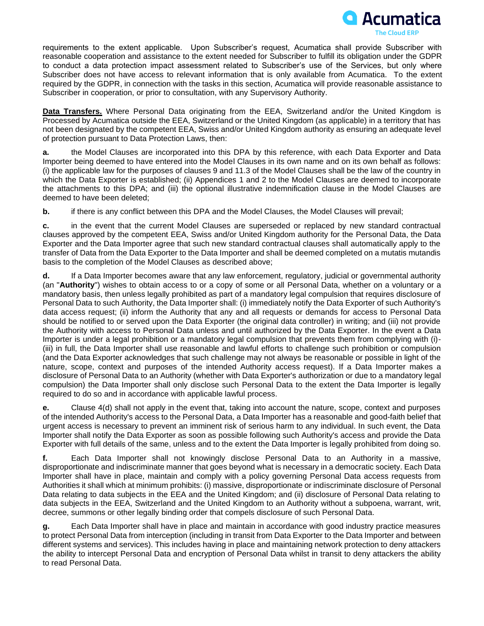

requirements to the extent applicable. Upon Subscriber's request, Acumatica shall provide Subscriber with reasonable cooperation and assistance to the extent needed for Subscriber to fulfill its obligation under the GDPR to conduct a data protection impact assessment related to Subscriber's use of the Services, but only where Subscriber does not have access to relevant information that is only available from Acumatica. To the extent required by the GDPR, in connection with the tasks in this section, Acumatica will provide reasonable assistance to Subscriber in cooperation, or prior to consultation, with any Supervisory Authority.

**Data Transfers.** Where Personal Data originating from the EEA, Switzerland and/or the United Kingdom is Processed by Acumatica outside the EEA, Switzerland or the United Kingdom (as applicable) in a territory that has not been designated by the competent EEA, Swiss and/or United Kingdom authority as ensuring an adequate level of protection pursuant to Data Protection Laws, then:

**a.** the Model Clauses are incorporated into this DPA by this reference, with each Data Exporter and Data Importer being deemed to have entered into the Model Clauses in its own name and on its own behalf as follows: (i) the applicable law for the purposes of clauses 9 and 11.3 of the Model Clauses shall be the law of the country in which the Data Exporter is established; (ii) Appendices 1 and 2 to the Model Clauses are deemed to incorporate the attachments to this DPA; and (iii) the optional illustrative indemnification clause in the Model Clauses are deemed to have been deleted;

**b.** if there is any conflict between this DPA and the Model Clauses, the Model Clauses will prevail;

**c.** in the event that the current Model Clauses are superseded or replaced by new standard contractual clauses approved by the competent EEA, Swiss and/or United Kingdom authority for the Personal Data, the Data Exporter and the Data Importer agree that such new standard contractual clauses shall automatically apply to the transfer of Data from the Data Exporter to the Data Importer and shall be deemed completed on a mutatis mutandis basis to the completion of the Model Clauses as described above;

**d.** If a Data Importer becomes aware that any law enforcement, regulatory, judicial or governmental authority (an "**Authority**") wishes to obtain access to or a copy of some or all Personal Data, whether on a voluntary or a mandatory basis, then unless legally prohibited as part of a mandatory legal compulsion that requires disclosure of Personal Data to such Authority, the Data Importer shall: (i) immediately notify the Data Exporter of such Authority's data access request; (ii) inform the Authority that any and all requests or demands for access to Personal Data should be notified to or served upon the Data Exporter (the original data controller) in writing; and (iii) not provide the Authority with access to Personal Data unless and until authorized by the Data Exporter. In the event a Data Importer is under a legal prohibition or a mandatory legal compulsion that prevents them from complying with (i)- (iii) in full, the Data Importer shall use reasonable and lawful efforts to challenge such prohibition or compulsion (and the Data Exporter acknowledges that such challenge may not always be reasonable or possible in light of the nature, scope, context and purposes of the intended Authority access request). If a Data Importer makes a disclosure of Personal Data to an Authority (whether with Data Exporter's authorization or due to a mandatory legal compulsion) the Data Importer shall only disclose such Personal Data to the extent the Data Importer is legally required to do so and in accordance with applicable lawful process.

**e.** Clause 4(d) shall not apply in the event that, taking into account the nature, scope, context and purposes of the intended Authority's access to the Personal Data, a Data Importer has a reasonable and good-faith belief that urgent access is necessary to prevent an imminent risk of serious harm to any individual. In such event, the Data Importer shall notify the Data Exporter as soon as possible following such Authority's access and provide the Data Exporter with full details of the same, unless and to the extent the Data Importer is legally prohibited from doing so.

**f.** Each Data Importer shall not knowingly disclose Personal Data to an Authority in a massive, disproportionate and indiscriminate manner that goes beyond what is necessary in a democratic society. Each Data Importer shall have in place, maintain and comply with a policy governing Personal Data access requests from Authorities it shall which at minimum prohibits: (i) massive, disproportionate or indiscriminate disclosure of Personal Data relating to data subjects in the EEA and the United Kingdom; and (ii) disclosure of Personal Data relating to data subjects in the EEA, Switzerland and the United Kingdom to an Authority without a subpoena, warrant, writ, decree, summons or other legally binding order that compels disclosure of such Personal Data.

**g.** Each Data Importer shall have in place and maintain in accordance with good industry practice measures to protect Personal Data from interception (including in transit from Data Exporter to the Data Importer and between different systems and services). This includes having in place and maintaining network protection to deny attackers the ability to intercept Personal Data and encryption of Personal Data whilst in transit to deny attackers the ability to read Personal Data.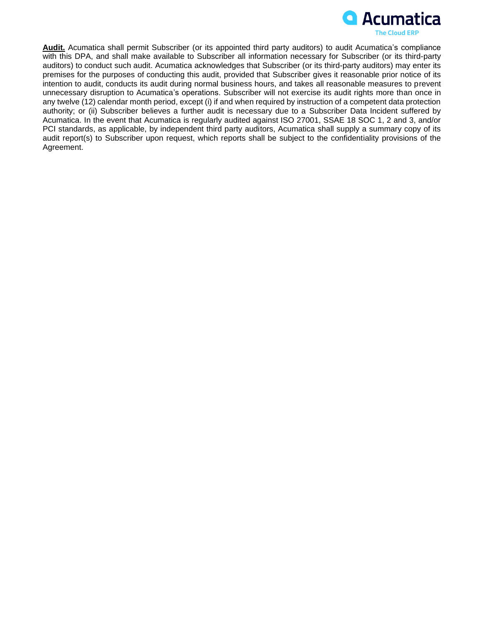

**Audit.** Acumatica shall permit Subscriber (or its appointed third party auditors) to audit Acumatica's compliance with this DPA, and shall make available to Subscriber all information necessary for Subscriber (or its third-party auditors) to conduct such audit. Acumatica acknowledges that Subscriber (or its third-party auditors) may enter its premises for the purposes of conducting this audit, provided that Subscriber gives it reasonable prior notice of its intention to audit, conducts its audit during normal business hours, and takes all reasonable measures to prevent unnecessary disruption to Acumatica's operations. Subscriber will not exercise its audit rights more than once in any twelve (12) calendar month period, except (i) if and when required by instruction of a competent data protection authority; or (ii) Subscriber believes a further audit is necessary due to a Subscriber Data Incident suffered by Acumatica. In the event that Acumatica is regularly audited against ISO 27001, SSAE 18 SOC 1, 2 and 3, and/or PCI standards, as applicable, by independent third party auditors, Acumatica shall supply a summary copy of its audit report(s) to Subscriber upon request, which reports shall be subject to the confidentiality provisions of the Agreement.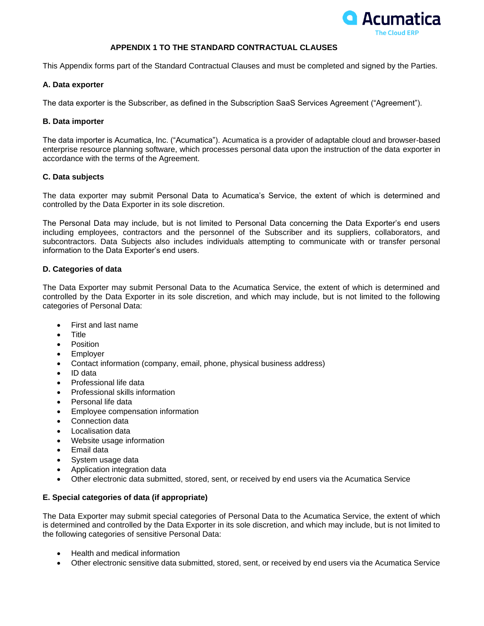

# **APPENDIX 1 TO THE STANDARD CONTRACTUAL CLAUSES**

This Appendix forms part of the Standard Contractual Clauses and must be completed and signed by the Parties.

## **A. Data exporter**

The data exporter is the Subscriber, as defined in the Subscription SaaS Services Agreement ("Agreement").

# **B. Data importer**

The data importer is Acumatica, Inc. ("Acumatica"). Acumatica is a provider of adaptable cloud and browser-based enterprise resource planning software, which processes personal data upon the instruction of the data exporter in accordance with the terms of the Agreement.

# **C. Data subjects**

The data exporter may submit Personal Data to Acumatica's Service, the extent of which is determined and controlled by the Data Exporter in its sole discretion.

The Personal Data may include, but is not limited to Personal Data concerning the Data Exporter's end users including employees, contractors and the personnel of the Subscriber and its suppliers, collaborators, and subcontractors. Data Subjects also includes individuals attempting to communicate with or transfer personal information to the Data Exporter's end users.

# **D. Categories of data**

The Data Exporter may submit Personal Data to the Acumatica Service, the extent of which is determined and controlled by the Data Exporter in its sole discretion, and which may include, but is not limited to the following categories of Personal Data:

- First and last name
- Title
- **Position**
- Employer
- Contact information (company, email, phone, physical business address)
- ID data
- Professional life data
- Professional skills information
- Personal life data
- Employee compensation information
- Connection data
- Localisation data
- Website usage information
- Email data
- System usage data
- Application integration data
- Other electronic data submitted, stored, sent, or received by end users via the Acumatica Service

# **E. Special categories of data (if appropriate)**

The Data Exporter may submit special categories of Personal Data to the Acumatica Service, the extent of which is determined and controlled by the Data Exporter in its sole discretion, and which may include, but is not limited to the following categories of sensitive Personal Data:

- Health and medical information
- Other electronic sensitive data submitted, stored, sent, or received by end users via the Acumatica Service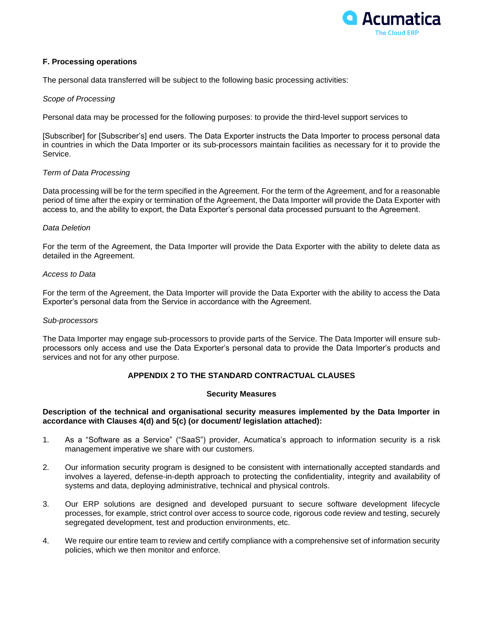

## **F. Processing operations**

The personal data transferred will be subject to the following basic processing activities:

### *Scope of Processing*

Personal data may be processed for the following purposes: to provide the third-level support services to

[Subscriber] for [Subscriber's] end users. The Data Exporter instructs the Data Importer to process personal data in countries in which the Data Importer or its sub-processors maintain facilities as necessary for it to provide the Service.

# *Term of Data Processing*

Data processing will be for the term specified in the Agreement. For the term of the Agreement, and for a reasonable period of time after the expiry or termination of the Agreement, the Data Importer will provide the Data Exporter with access to, and the ability to export, the Data Exporter's personal data processed pursuant to the Agreement.

# *Data Deletion*

For the term of the Agreement, the Data Importer will provide the Data Exporter with the ability to delete data as detailed in the Agreement.

### *Access to Data*

For the term of the Agreement, the Data Importer will provide the Data Exporter with the ability to access the Data Exporter's personal data from the Service in accordance with the Agreement.

### *Sub-processors*

The Data Importer may engage sub-processors to provide parts of the Service. The Data Importer will ensure subprocessors only access and use the Data Exporter's personal data to provide the Data Importer's products and services and not for any other purpose.

# **APPENDIX 2 TO THE STANDARD CONTRACTUAL CLAUSES**

### **Security Measures**

### **Description of the technical and organisational security measures implemented by the Data Importer in accordance with Clauses 4(d) and 5(c) (or document/ legislation attached):**

- 1. As a "Software as a Service" ("SaaS") provider, Acumatica's approach to information security is a risk management imperative we share with our customers.
- 2. Our information security program is designed to be consistent with internationally accepted standards and involves a layered, defense-in-depth approach to protecting the confidentiality, integrity and availability of systems and data, deploying administrative, technical and physical controls.
- 3. Our ERP solutions are designed and developed pursuant to secure software development lifecycle processes, for example, strict control over access to source code, rigorous code review and testing, securely segregated development, test and production environments, etc.
- 4. We require our entire team to review and certify compliance with a comprehensive set of information security policies, which we then monitor and enforce.